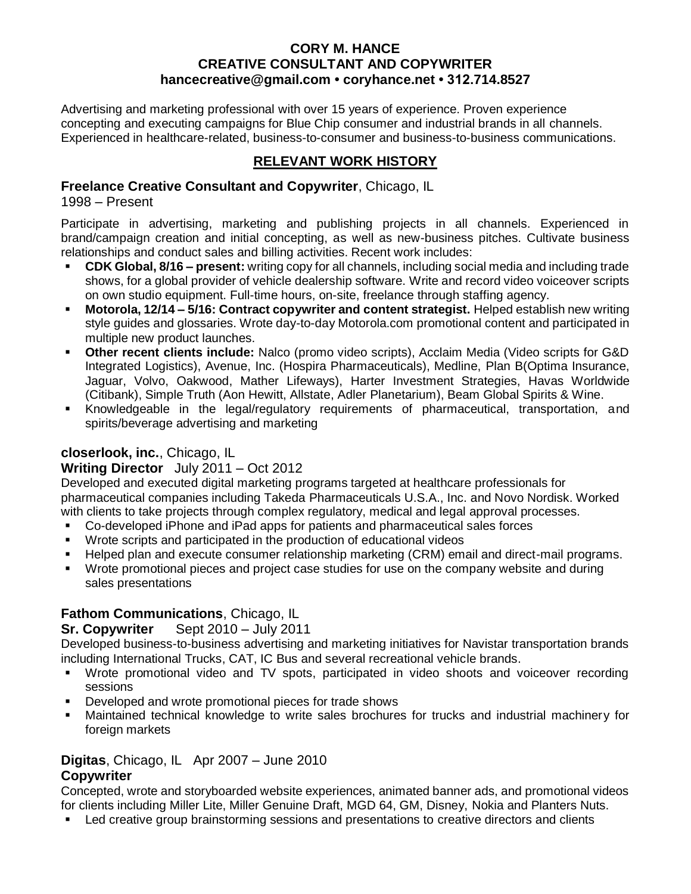### **CORY M. HANCE CREATIVE CONSULTANT AND COPYWRITER hancecreative@gmail.com • coryhance.net • 312.714.8527**

Advertising and marketing professional with over 15 years of experience. Proven experience concepting and executing campaigns for Blue Chip consumer and industrial brands in all channels. Experienced in healthcare-related, business-to-consumer and business-to-business communications.

## **RELEVANT WORK HISTORY**

### **Freelance Creative Consultant and Copywriter**, Chicago, IL

1998 – Present

Participate in advertising, marketing and publishing projects in all channels. Experienced in brand/campaign creation and initial concepting, as well as new-business pitches. Cultivate business relationships and conduct sales and billing activities. Recent work includes:

- **CDK Global, 8/16 – present:** writing copy for all channels, including social media and including trade shows, for a global provider of vehicle dealership software. Write and record video voiceover scripts on own studio equipment. Full-time hours, on-site, freelance through staffing agency.
- **Motorola, 12/14 – 5/16: Contract copywriter and content strategist.** Helped establish new writing style guides and glossaries. Wrote day-to-day Motorola.com promotional content and participated in multiple new product launches.
- **Other recent clients include:** Nalco (promo video scripts), Acclaim Media (Video scripts for G&D Integrated Logistics), Avenue, Inc. (Hospira Pharmaceuticals), Medline, Plan B(Optima Insurance, Jaguar, Volvo, Oakwood, Mather Lifeways), Harter Investment Strategies, Havas Worldwide (Citibank), Simple Truth (Aon Hewitt, Allstate, Adler Planetarium), Beam Global Spirits & Wine.
- Knowledgeable in the legal/regulatory requirements of pharmaceutical, transportation, and spirits/beverage advertising and marketing

## **closerlook, inc.**, Chicago, IL

## **Writing Director** July 2011 – Oct 2012

Developed and executed digital marketing programs targeted at healthcare professionals for pharmaceutical companies including Takeda Pharmaceuticals U.S.A., Inc. and Novo Nordisk. Worked with clients to take projects through complex regulatory, medical and legal approval processes.

- Co-developed iPhone and iPad apps for patients and pharmaceutical sales forces
- Wrote scripts and participated in the production of educational videos
- Helped plan and execute consumer relationship marketing (CRM) email and direct-mail programs.
- Wrote promotional pieces and project case studies for use on the company website and during sales presentations

## **Fathom Communications**, Chicago, IL

## **Sr. Copywriter** Sept 2010 – July 2011

Developed business-to-business advertising and marketing initiatives for Navistar transportation brands including International Trucks, CAT, IC Bus and several recreational vehicle brands.

- Wrote promotional video and TV spots, participated in video shoots and voiceover recording sessions
- Developed and wrote promotional pieces for trade shows
- Maintained technical knowledge to write sales brochures for trucks and industrial machinery for foreign markets

#### **Digitas**, Chicago, IL Apr 2007 – June 2010 **Copywriter**

Concepted, wrote and storyboarded website experiences, animated banner ads, and promotional videos for clients including Miller Lite, Miller Genuine Draft, MGD 64, GM, Disney, Nokia and Planters Nuts.

**•** Led creative group brainstorming sessions and presentations to creative directors and clients